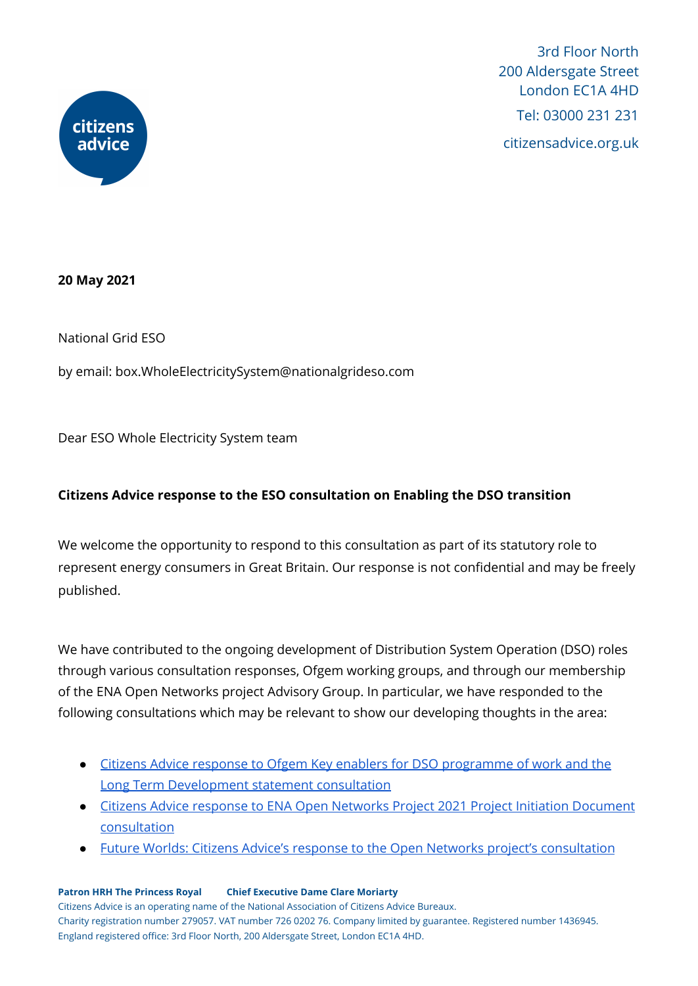

3rd Floor North 200 Aldersgate Street London EC1A 4HD Tel: 03000 231 231 citizensadvice.org.uk

**20 May 2021**

National Grid ESO

by email: box.WholeElectricitySystem@nationalgrideso.com

Dear ESO Whole Electricity System team

## **Citizens Advice response to the ESO consultation on Enabling the DSO transition**

We welcome the opportunity to respond to this consultation as part of its statutory role to represent energy consumers in Great Britain. Our response is not confidential and may be freely published.

We have contributed to the ongoing development of Distribution System Operation (DSO) roles through various consultation responses, Ofgem working groups, and through our membership of the ENA Open Networks project Advisory Group. In particular, we have responded to the following consultations which may be relevant to show our developing thoughts in the area:

- Citizens Advice response to Ofgem Key enablers for DSO [programme](https://www.citizensadvice.org.uk/about-us/our-work/policy/policy-research-topics/energy-policy-research-and-consultation-responses/energy-consultation-responses/citizens-advice-response-to-ofgem-key-enablers-for-dso-programme-of-work-and-the-long-term-development-statement-consultation/) of work and the Long Term [Development](https://www.citizensadvice.org.uk/about-us/our-work/policy/policy-research-topics/energy-policy-research-and-consultation-responses/energy-consultation-responses/citizens-advice-response-to-ofgem-key-enablers-for-dso-programme-of-work-and-the-long-term-development-statement-consultation/) statement consultation
- Citizens Advice response to ENA Open Networks Project 2021 Project Initiation [Document](https://www.citizensadvice.org.uk/about-us/our-work/policy/policy-research-topics/energy-policy-research-and-consultation-responses/energy-consultation-responses/citizens-advice-response-to-ena-open-networks-project-2021-project-initiation-document-consultation/) [consultation](https://www.citizensadvice.org.uk/about-us/our-work/policy/policy-research-topics/energy-policy-research-and-consultation-responses/energy-consultation-responses/citizens-advice-response-to-ena-open-networks-project-2021-project-initiation-document-consultation/)
- Future Worlds: Citizens Advice's response to the Open Networks project's [consultation](https://www.citizensadvice.org.uk/cymraeg/amdanom-ni/our-work/policy/policy-research-topics/energy-policy-research-and-consultation-responses/energy-consultation-responses/future-worlds-citizens-advices-response-to-the-open-networks-projects-consultation/)

**Patron HRH The Princess Royal Chief Executive Dame Clare Moriarty**

Citizens Advice is an operating name of the National Association of Citizens Advice Bureaux. Charity registration number 279057. VAT number 726 0202 76. Company limited by guarantee. Registered number 1436945. England registered office: 3rd Floor North, 200 Aldersgate Street, London EC1A 4HD.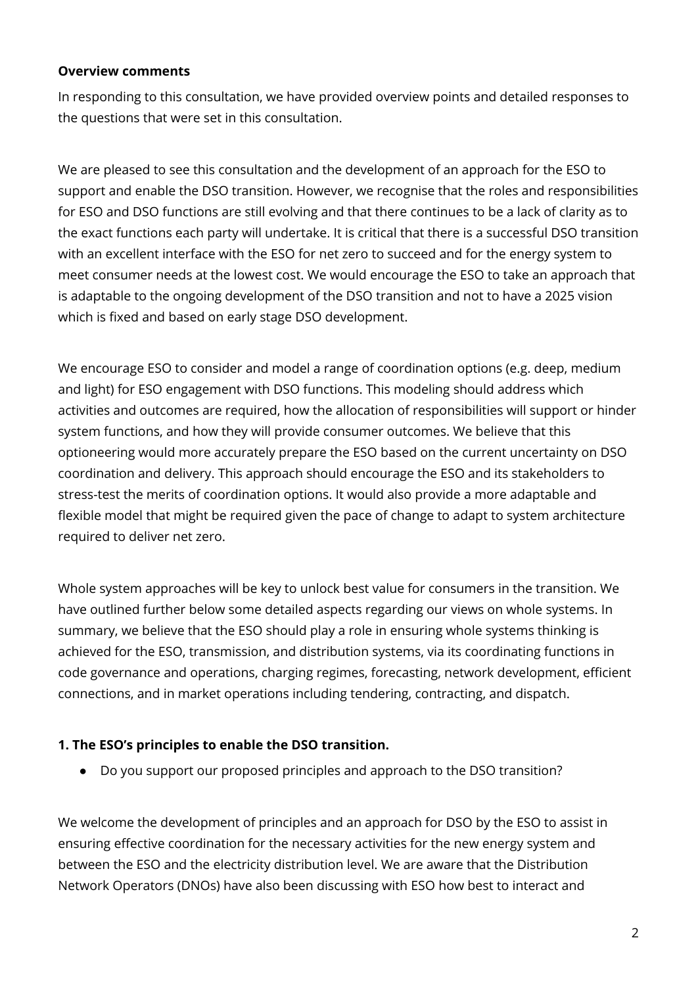#### **Overview comments**

In responding to this consultation, we have provided overview points and detailed responses to the questions that were set in this consultation.

We are pleased to see this consultation and the development of an approach for the ESO to support and enable the DSO transition. However, we recognise that the roles and responsibilities for ESO and DSO functions are still evolving and that there continues to be a lack of clarity as to the exact functions each party will undertake. It is critical that there is a successful DSO transition with an excellent interface with the ESO for net zero to succeed and for the energy system to meet consumer needs at the lowest cost. We would encourage the ESO to take an approach that is adaptable to the ongoing development of the DSO transition and not to have a 2025 vision which is fixed and based on early stage DSO development.

We encourage ESO to consider and model a range of coordination options (e.g. deep, medium and light) for ESO engagement with DSO functions. This modeling should address which activities and outcomes are required, how the allocation of responsibilities will support or hinder system functions, and how they will provide consumer outcomes. We believe that this optioneering would more accurately prepare the ESO based on the current uncertainty on DSO coordination and delivery. This approach should encourage the ESO and its stakeholders to stress-test the merits of coordination options. It would also provide a more adaptable and flexible model that might be required given the pace of change to adapt to system architecture required to deliver net zero.

Whole system approaches will be key to unlock best value for consumers in the transition. We have outlined further below some detailed aspects regarding our views on whole systems. In summary, we believe that the ESO should play a role in ensuring whole systems thinking is achieved for the ESO, transmission, and distribution systems, via its coordinating functions in code governance and operations, charging regimes, forecasting, network development, efficient connections, and in market operations including tendering, contracting, and dispatch.

### **1. The ESO's principles to enable the DSO transition.**

**●** Do you support our proposed principles and approach to the DSO transition?

We welcome the development of principles and an approach for DSO by the ESO to assist in ensuring effective coordination for the necessary activities for the new energy system and between the ESO and the electricity distribution level. We are aware that the Distribution Network Operators (DNOs) have also been discussing with ESO how best to interact and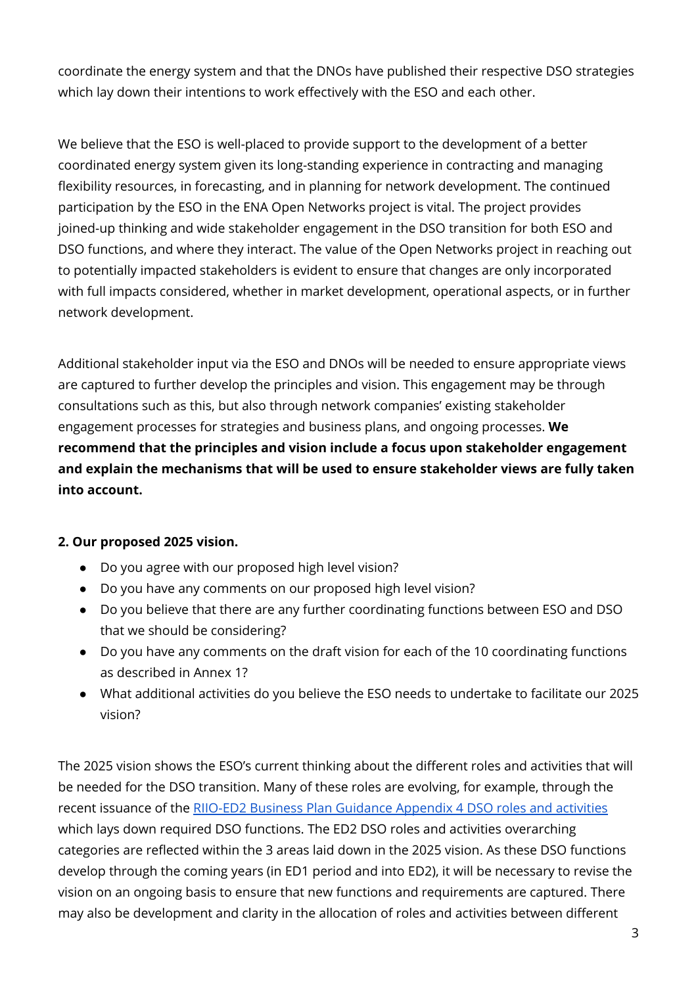coordinate the energy system and that the DNOs have published their respective DSO strategies which lay down their intentions to work effectively with the ESO and each other.

We believe that the ESO is well-placed to provide support to the development of a better coordinated energy system given its long-standing experience in contracting and managing flexibility resources, in forecasting, and in planning for network development. The continued participation by the ESO in the ENA Open Networks project is vital. The project provides joined-up thinking and wide stakeholder engagement in the DSO transition for both ESO and DSO functions, and where they interact. The value of the Open Networks project in reaching out to potentially impacted stakeholders is evident to ensure that changes are only incorporated with full impacts considered, whether in market development, operational aspects, or in further network development.

Additional stakeholder input via the ESO and DNOs will be needed to ensure appropriate views are captured to further develop the principles and vision. This engagement may be through consultations such as this, but also through network companies' existing stakeholder engagement processes for strategies and business plans, and ongoing processes. **We recommend that the principles and vision include a focus upon stakeholder engagement and explain the mechanisms that will be used to ensure stakeholder views are fully taken into account.**

# **2. Our proposed 2025 vision.**

- Do you agree with our proposed high level vision?
- Do you have any comments on our proposed high level vision?
- Do you believe that there are any further coordinating functions between ESO and DSO that we should be considering?
- Do you have any comments on the draft vision for each of the 10 coordinating functions as described in Annex 1?
- What additional activities do you believe the ESO needs to undertake to facilitate our 2025 vision?

The 2025 vision shows the ESO's current thinking about the different roles and activities that will be needed for the DSO transition. Many of these roles are evolving, for example, through the recent issuance of the RIIO-ED2 Business Plan Guidance [Appendix](https://www.ofgem.gov.uk/publications-and-updates/riio-ed2-business-plan-guidance) 4 DSO roles and activities which lays down required DSO functions. The ED2 DSO roles and activities overarching categories are reflected within the 3 areas laid down in the 2025 vision. As these DSO functions develop through the coming years (in ED1 period and into ED2), it will be necessary to revise the vision on an ongoing basis to ensure that new functions and requirements are captured. There may also be development and clarity in the allocation of roles and activities between different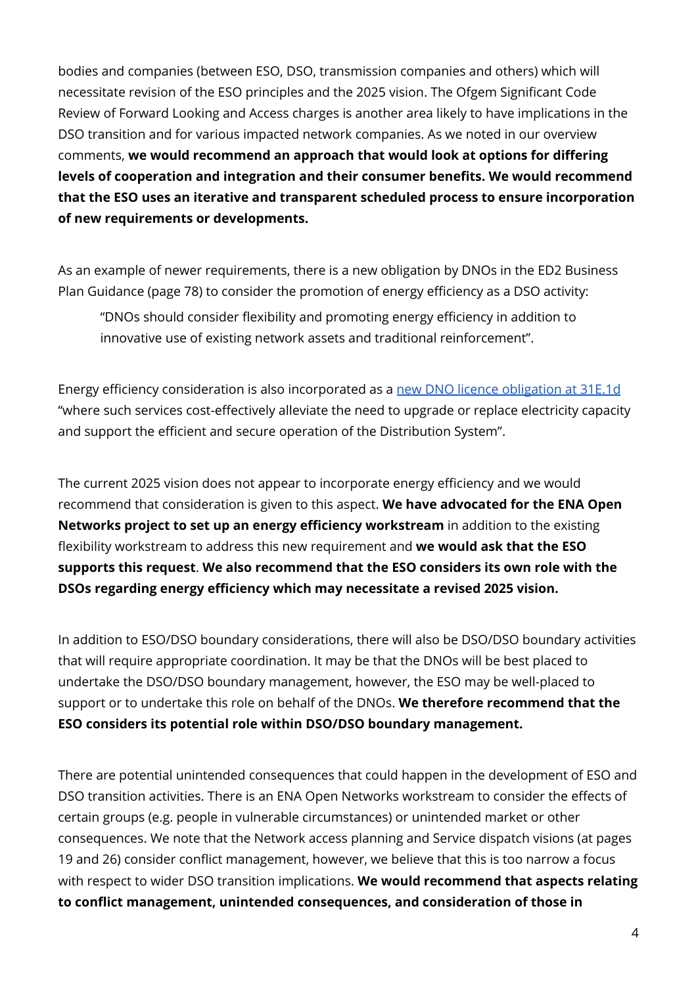bodies and companies (between ESO, DSO, transmission companies and others) which will necessitate revision of the ESO principles and the 2025 vision. The Ofgem Significant Code Review of Forward Looking and Access charges is another area likely to have implications in the DSO transition and for various impacted network companies. As we noted in our overview comments, **we would recommend an approach that would look at options for differing levels of cooperation and integration and their consumer benefits. We would recommend that the ESO uses an iterative and transparent scheduled process to ensure incorporation of new requirements or developments.**

As an example of newer requirements, there is a new obligation by DNOs in the ED2 Business Plan Guidance (page 78) to consider the promotion of energy efficiency as a DSO activity:

"DNOs should consider flexibility and promoting energy efficiency in addition to innovative use of existing network assets and traditional reinforcement".

Energy efficiency consideration is also incorporated as a new DNO licence [obligation](https://www.ofgem.gov.uk/system/files/docs/2021/02/electricity_distribution_consolidated_standard_licence_conditions_22_01_2021.pdf) at 31E.1d "where such services cost-effectively alleviate the need to upgrade or replace electricity capacity and support the efficient and secure operation of the Distribution System".

The current 2025 vision does not appear to incorporate energy efficiency and we would recommend that consideration is given to this aspect. **We have advocated for the ENA Open Networks project to set up an energy efficiency workstream** in addition to the existing flexibility workstream to address this new requirement and **we would ask that the ESO supports this request**. **We also recommend that the ESO considers its own role with the DSOs regarding energy efficiency which may necessitate a revised 2025 vision.**

In addition to ESO/DSO boundary considerations, there will also be DSO/DSO boundary activities that will require appropriate coordination. It may be that the DNOs will be best placed to undertake the DSO/DSO boundary management, however, the ESO may be well-placed to support or to undertake this role on behalf of the DNOs. **We therefore recommend that the ESO considers its potential role within DSO/DSO boundary management.**

There are potential unintended consequences that could happen in the development of ESO and DSO transition activities. There is an ENA Open Networks workstream to consider the effects of certain groups (e.g. people in vulnerable circumstances) or unintended market or other consequences. We note that the Network access planning and Service dispatch visions (at pages 19 and 26) consider conflict management, however, we believe that this is too narrow a focus with respect to wider DSO transition implications. **We would recommend that aspects relating to conflict management, unintended consequences, and consideration of those in**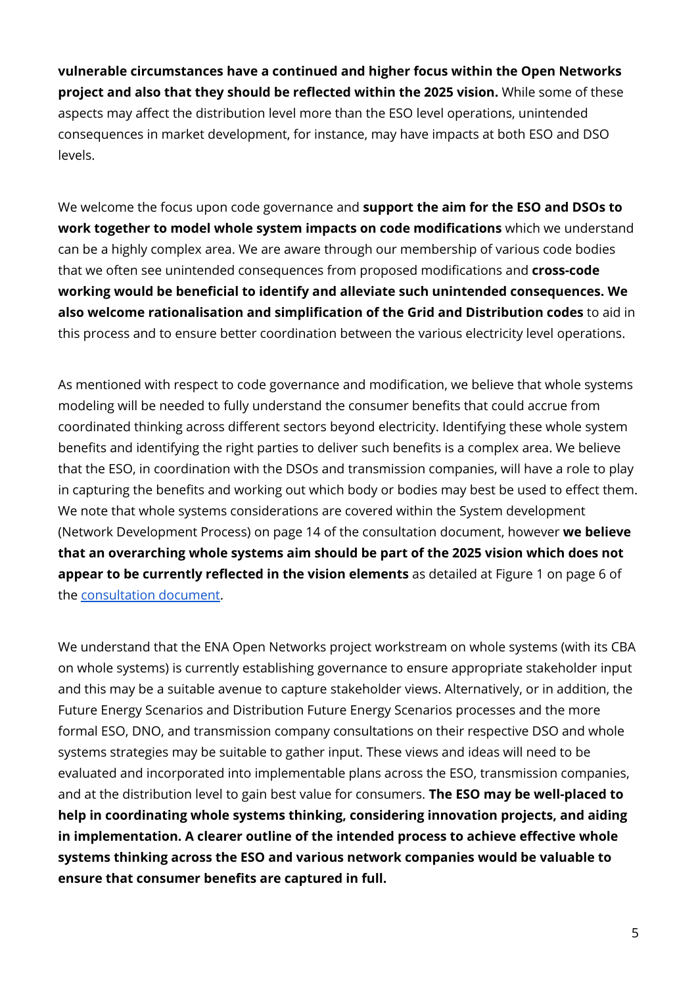**vulnerable circumstances have a continued and higher focus within the Open Networks project and also that they should be reflected within the 2025 vision.** While some of these aspects may affect the distribution level more than the ESO level operations, unintended consequences in market development, for instance, may have impacts at both ESO and DSO levels.

We welcome the focus upon code governance and **support the aim for the ESO and DSOs to work together to model whole system impacts on code modifications** which we understand can be a highly complex area. We are aware through our membership of various code bodies that we often see unintended consequences from proposed modifications and **cross-code working would be beneficial to identify and alleviate such unintended consequences. We also welcome rationalisation and simplification of the Grid and Distribution codes** to aid in this process and to ensure better coordination between the various electricity level operations.

As mentioned with respect to code governance and modification, we believe that whole systems modeling will be needed to fully understand the consumer benefits that could accrue from coordinated thinking across different sectors beyond electricity. Identifying these whole system benefits and identifying the right parties to deliver such benefits is a complex area. We believe that the ESO, in coordination with the DSOs and transmission companies, will have a role to play in capturing the benefits and working out which body or bodies may best be used to effect them. We note that whole systems considerations are covered within the System development (Network Development Process) on page 14 of the consultation document, however **we believe that an overarching whole systems aim should be part of the 2025 vision which does not appear to be currently reflected in the vision elements** as detailed at Figure 1 on page 6 of the [consultation](https://www.nationalgrideso.com/document/190271/download) document.

We understand that the ENA Open Networks project workstream on whole systems (with its CBA on whole systems) is currently establishing governance to ensure appropriate stakeholder input and this may be a suitable avenue to capture stakeholder views. Alternatively, or in addition, the Future Energy Scenarios and Distribution Future Energy Scenarios processes and the more formal ESO, DNO, and transmission company consultations on their respective DSO and whole systems strategies may be suitable to gather input. These views and ideas will need to be evaluated and incorporated into implementable plans across the ESO, transmission companies, and at the distribution level to gain best value for consumers. **The ESO may be well-placed to help in coordinating whole systems thinking, considering innovation projects, and aiding in implementation. A clearer outline of the intended process to achieve effective whole systems thinking across the ESO and various network companies would be valuable to ensure that consumer benefits are captured in full.**